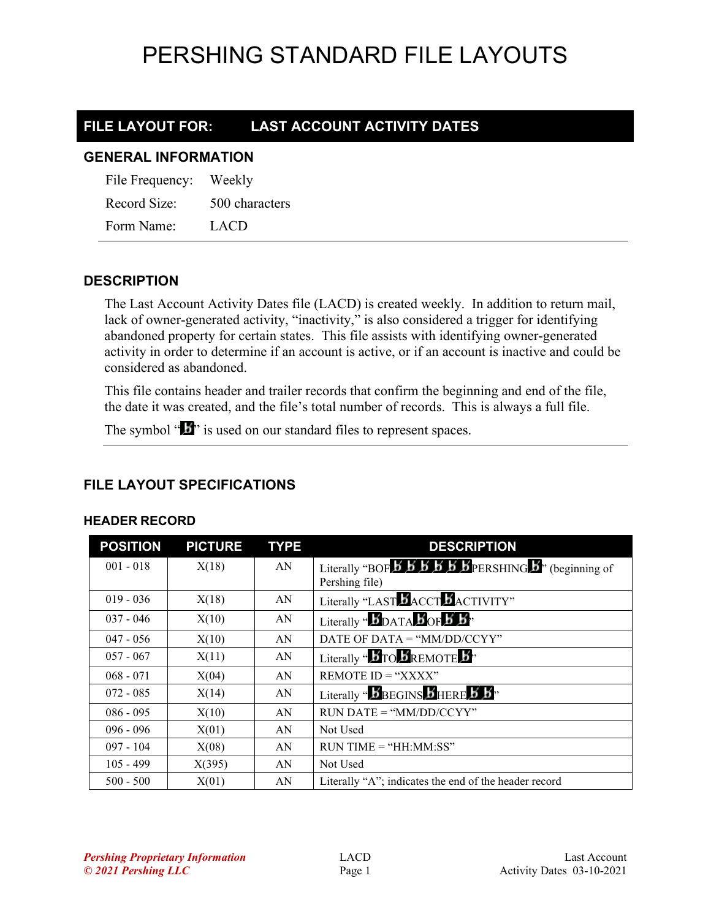### **FILE LAYOUT FOR: LAST ACCOUNT ACTIVITY DATES**

### **GENERAL INFORMATION**

| File Frequency: | Weekly         |
|-----------------|----------------|
| Record Size:    | 500 characters |
| Form Name:      | LACD           |

### **DESCRIPTION**

The Last Account Activity Dates file (LACD) is created weekly. In addition to return mail, lack of owner-generated activity, "inactivity," is also considered a trigger for identifying abandoned property for certain states. This file assists with identifying owner-generated activity in order to determine if an account is active, or if an account is inactive and could be considered as abandoned.

This file contains header and trailer records that confirm the beginning and end of the file, the date it was created, and the file's total number of records. This is always a full file.

The symbol " $\mathbf{I}$ " is used on our standard files to represent spaces.

### **FILE LAYOUT SPECIFICATIONS**

### **HEADER RECORD**

| <b>POSITION</b> | <b>PICTURE</b> | <b>TYPE</b> | <b>DESCRIPTION</b>                                                                                                                                              |
|-----------------|----------------|-------------|-----------------------------------------------------------------------------------------------------------------------------------------------------------------|
| $001 - 018$     | X(18)          | AN          | Literally "BOF $\overline{B}$ $\overline{B}$ $\overline{B}$ $\overline{B}$ $\overline{B}$ $\overline{B}$ $\overline{B}$ PERSHING $\overline{B}$ " (beginning of |
|                 |                |             | Pershing file)                                                                                                                                                  |
| $019 - 036$     | X(18)          | AN          | Literally "LAST <b>B</b> ACCT <b>B</b> ACTIVITY"                                                                                                                |
| $037 - 046$     | X(10)          | AN          | Literally " $\mathbf{B}_{\text{DATA}}$ $\mathbf{B}_{\text{OF}}$ $\mathbf{B}_{\text{B}}$ "                                                                       |
| $047 - 056$     | X(10)          | AN          | DATE OF DATA = " $MM/DD/CCYY"$                                                                                                                                  |
| $057 - 067$     | X(11)          | AN          | Literally " $\mathbf{B}_{\text{TO}}\mathbf{B}_{\text{REMOTE}}\mathbf{B}$ "                                                                                      |
| $068 - 071$     | X(04)          | AN          | REMOTE $ID = "XXX"$                                                                                                                                             |
| $072 - 085$     | X(14)          | AN          | Literally " $\mathbf{B}$ BEGINS $\mathbf{B}$ HERE $\mathbf{B}$ $\mathbf{B}$ "                                                                                   |
| $086 - 095$     | X(10)          | AN          | $RUN\ DATE = "MM/DD/CCYY"$                                                                                                                                      |
| $096 - 096$     | X(01)          | AN          | Not Used                                                                                                                                                        |
| $097 - 104$     | X(08)          | AN          | $RUN TIME = "HH:MM:SS"$                                                                                                                                         |
| $105 - 499$     | X(395)         | AN          | Not Used                                                                                                                                                        |
| $500 - 500$     | X(01)          | AN          | Literally "A"; indicates the end of the header record                                                                                                           |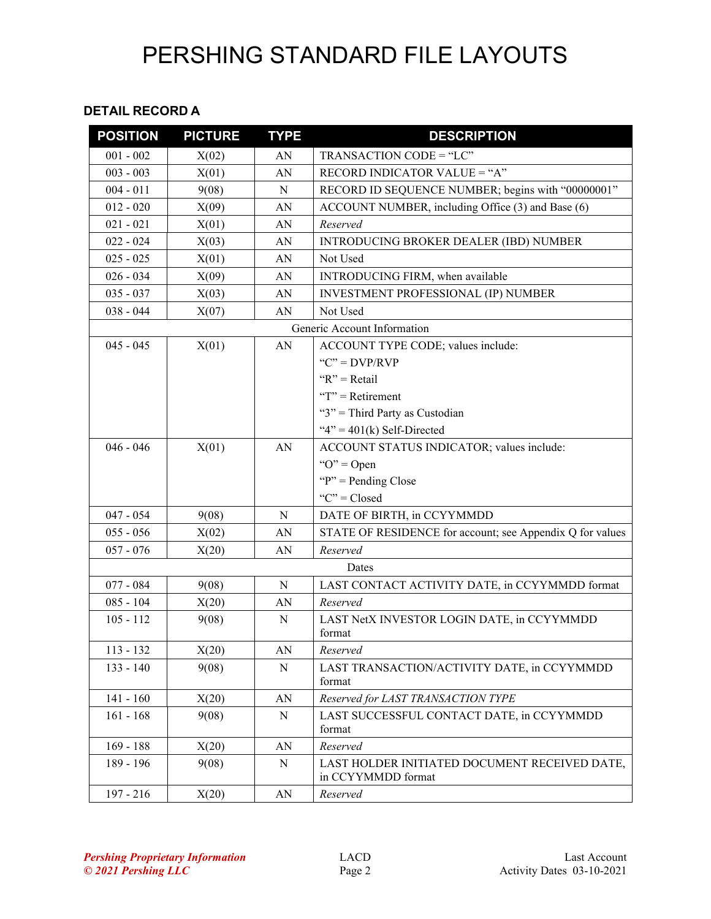#### **DETAIL RECORD A**

| <b>POSITION</b> | <b>PICTURE</b>              | <b>TYPE</b> | <b>DESCRIPTION</b>                                                  |
|-----------------|-----------------------------|-------------|---------------------------------------------------------------------|
| $001 - 002$     | X(02)                       | AN          | TRANSACTION CODE = "LC"                                             |
| $003 - 003$     | X(01)                       | AN          | RECORD INDICATOR VALUE = "A"                                        |
| $004 - 011$     | 9(08)                       | N           | RECORD ID SEQUENCE NUMBER; begins with "00000001"                   |
| $012 - 020$     | X(09)                       | AN          | ACCOUNT NUMBER, including Office (3) and Base (6)                   |
| $021 - 021$     | X(01)                       | AN          | Reserved                                                            |
| $022 - 024$     | X(03)                       | AN          | INTRODUCING BROKER DEALER (IBD) NUMBER                              |
| $025 - 025$     | X(01)                       | AN          | Not Used                                                            |
| $026 - 034$     | X(09)                       | AN          | INTRODUCING FIRM, when available                                    |
| $035 - 037$     | X(03)                       | AN          | <b>INVESTMENT PROFESSIONAL (IP) NUMBER</b>                          |
| $038 - 044$     | X(07)                       | AN          | Not Used                                                            |
|                 | Generic Account Information |             |                                                                     |
| $045 - 045$     | X(01)                       | AN          | ACCOUNT TYPE CODE; values include:                                  |
|                 |                             |             | " $C$ " = $DVP/RVP$                                                 |
|                 |                             |             | " $R$ " = Retail                                                    |
|                 |                             |             | " $T$ " = Retirement                                                |
|                 |                             |             | "3" = Third Party as Custodian                                      |
|                 |                             |             | " $4$ " = 401(k) Self-Directed                                      |
| $046 - 046$     | X(01)                       | AN          | ACCOUNT STATUS INDICATOR; values include:                           |
|                 |                             |             | " $O$ " = Open                                                      |
|                 |                             |             | " $P$ " = Pending Close"                                            |
|                 |                             |             | "C" = $Closed$                                                      |
| $047 - 054$     | 9(08)                       | N           | DATE OF BIRTH, in CCYYMMDD                                          |
| $055 - 056$     | X(02)                       | AN          | STATE OF RESIDENCE for account; see Appendix Q for values           |
| $057 - 076$     | X(20)                       | AN          | Reserved                                                            |
| Dates           |                             |             |                                                                     |
| $077 - 084$     | 9(08)                       | N           | LAST CONTACT ACTIVITY DATE, in CCYYMMDD format                      |
| $085 - 104$     | X(20)                       | AN          | Reserved                                                            |
| $105 - 112$     | 9(08)                       | N           | LAST NetX INVESTOR LOGIN DATE, in CCYYMMDD                          |
|                 |                             |             | format                                                              |
| $113 - 132$     | X(20)                       | AN          | Reserved                                                            |
| $133 - 140$     | 9(08)                       | N           | LAST TRANSACTION/ACTIVITY DATE, in CCYYMMDD<br>format               |
| $141 - 160$     | X(20)                       | AN          | Reserved for LAST TRANSACTION TYPE                                  |
| $161 - 168$     | 9(08)                       | N           | LAST SUCCESSFUL CONTACT DATE, in CCYYMMDD<br>format                 |
| $169 - 188$     | X(20)                       | AN          | Reserved                                                            |
| 189 - 196       | 9(08)                       | ${\bf N}$   | LAST HOLDER INITIATED DOCUMENT RECEIVED DATE,<br>in CCYYMMDD format |
| $197 - 216$     | X(20)                       | AN          | Reserved                                                            |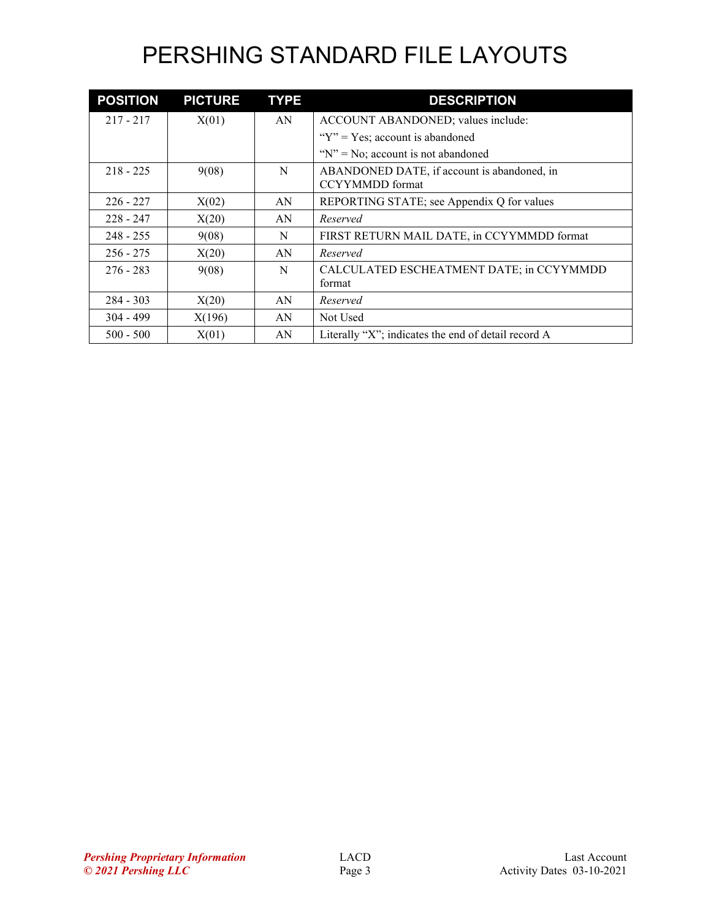| <b>POSITION</b> | <b>PICTURE</b> | <b>TYPE</b> | <b>DESCRIPTION</b>                                                    |
|-----------------|----------------|-------------|-----------------------------------------------------------------------|
| $217 - 217$     | X(01)          | AN          | ACCOUNT ABANDONED; values include:                                    |
|                 |                |             | " $Y$ " = Yes; account is abandoned                                   |
|                 |                |             | " $N$ " = No; account is not abandoned                                |
| $218 - 225$     | 9(08)          | N           | ABANDONED DATE, if account is abandoned, in<br><b>CCYYMMDD</b> format |
| $226 - 227$     | X(02)          | AN          | REPORTING STATE; see Appendix Q for values                            |
| $228 - 247$     | X(20)          | AN          | Reserved                                                              |
| $248 - 255$     | 9(08)          | N           | FIRST RETURN MAIL DATE, in CCYYMMDD format                            |
| $256 - 275$     | X(20)          | AN          | Reserved                                                              |
| $276 - 283$     | 9(08)          | N           | CALCULATED ESCHEATMENT DATE; in CCYYMMDD<br>format                    |
| $284 - 303$     | X(20)          | AN          | Reserved                                                              |
| $304 - 499$     | X(196)         | AN          | Not Used                                                              |
| $500 - 500$     | X(01)          | AN          | Literally "X"; indicates the end of detail record A                   |